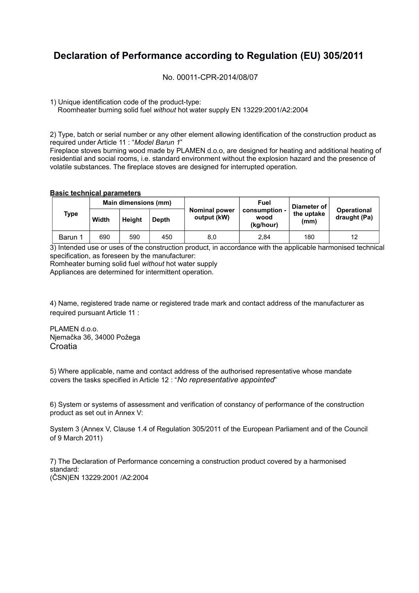## **Declaration of Performance according to Regulation (EU) 305/2011**

No. 00011-CPR-2014/08/07

1) Unique identification code of the product-type:

Roomheater burning solid fuel *without* hot water supply EN 13229:2001/A2:2004

2) Type, batch or serial number or any other element allowing identification of the construction product as required under Article 11 : "*Model Barun 1*"

Fireplace stoves burning wood made by PLAMEN d.o.o, are designed for heating and additional heating of residential and social rooms, i.e. standard environment without the explosion hazard and the presence of volatile substances. The fireplace stoves are designed for interrupted operation.

## **Basic technical parameters**

|  | <b>Type</b> | Main dimensions (mm) |               |       |                                     | Fuel                               | ⊩Diameter of <sup>∣</sup> |                                    |  |
|--|-------------|----------------------|---------------|-------|-------------------------------------|------------------------------------|---------------------------|------------------------------------|--|
|  |             | Width                | <b>Height</b> | Depth | <b>Nominal power</b><br>output (kW) | consumption -<br>wood<br>(kg/hour) | the uptake<br>(mm)        | <b>Operational</b><br>draught (Pa) |  |
|  | Barun 1     | 690                  | 590           | 450   | 8,0                                 | 2.84                               | 180                       | 12                                 |  |

3) Intended use or uses of the construction product, in accordance with the applicable harmonised technical specification, as foreseen by the manufacturer:

Romheater burning solid fuel *without* hot water supply

Appliances are determined for intermittent operation.

4) Name, registered trade name or registered trade mark and contact address of the manufacturer as required pursuant Article 11 :

PLAMEN d.o.o. Njemačka 36, 34000 Požega **Croatia** 

5) Where applicable, name and contact address of the authorised representative whose mandate covers the tasks specified in Article 12 : "*No representative appointed*"

6) System or systems of assessment and verification of constancy of performance of the construction product as set out in Annex V:

System 3 (Annex V, Clause 1.4 of Regulation 305/2011 of the European Parliament and of the Council of 9 March 2011)

7) The Declaration of Performance concerning a construction product covered by a harmonised standard: (ČSN)EN 13229:2001 /A2:2004